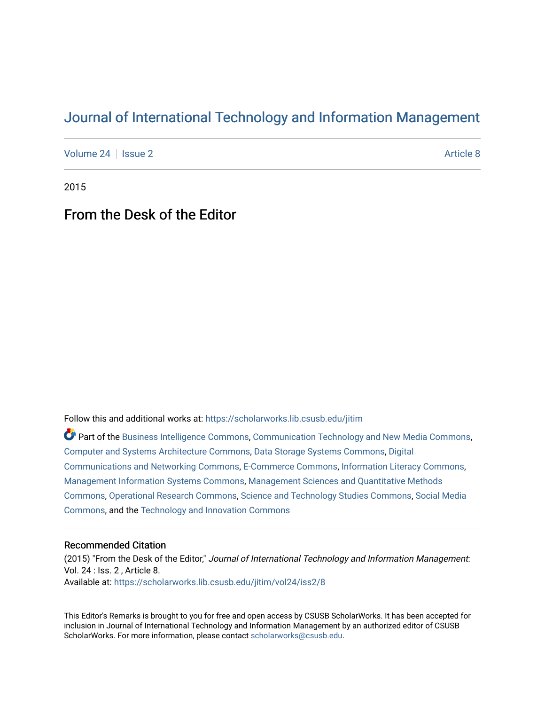## [Journal of International Technology and Information Management](https://scholarworks.lib.csusb.edu/jitim)

[Volume 24](https://scholarworks.lib.csusb.edu/jitim/vol24) | [Issue 2](https://scholarworks.lib.csusb.edu/jitim/vol24/iss2) Article 8

2015

## From the Desk of the Editor

Follow this and additional works at: [https://scholarworks.lib.csusb.edu/jitim](https://scholarworks.lib.csusb.edu/jitim?utm_source=scholarworks.lib.csusb.edu%2Fjitim%2Fvol24%2Fiss2%2F8&utm_medium=PDF&utm_campaign=PDFCoverPages) 

Part of the [Business Intelligence Commons,](http://network.bepress.com/hgg/discipline/1326?utm_source=scholarworks.lib.csusb.edu%2Fjitim%2Fvol24%2Fiss2%2F8&utm_medium=PDF&utm_campaign=PDFCoverPages) [Communication Technology and New Media Commons,](http://network.bepress.com/hgg/discipline/327?utm_source=scholarworks.lib.csusb.edu%2Fjitim%2Fvol24%2Fiss2%2F8&utm_medium=PDF&utm_campaign=PDFCoverPages) [Computer and Systems Architecture Commons](http://network.bepress.com/hgg/discipline/259?utm_source=scholarworks.lib.csusb.edu%2Fjitim%2Fvol24%2Fiss2%2F8&utm_medium=PDF&utm_campaign=PDFCoverPages), [Data Storage Systems Commons](http://network.bepress.com/hgg/discipline/261?utm_source=scholarworks.lib.csusb.edu%2Fjitim%2Fvol24%2Fiss2%2F8&utm_medium=PDF&utm_campaign=PDFCoverPages), [Digital](http://network.bepress.com/hgg/discipline/262?utm_source=scholarworks.lib.csusb.edu%2Fjitim%2Fvol24%2Fiss2%2F8&utm_medium=PDF&utm_campaign=PDFCoverPages) [Communications and Networking Commons](http://network.bepress.com/hgg/discipline/262?utm_source=scholarworks.lib.csusb.edu%2Fjitim%2Fvol24%2Fiss2%2F8&utm_medium=PDF&utm_campaign=PDFCoverPages), [E-Commerce Commons](http://network.bepress.com/hgg/discipline/624?utm_source=scholarworks.lib.csusb.edu%2Fjitim%2Fvol24%2Fiss2%2F8&utm_medium=PDF&utm_campaign=PDFCoverPages), [Information Literacy Commons,](http://network.bepress.com/hgg/discipline/1243?utm_source=scholarworks.lib.csusb.edu%2Fjitim%2Fvol24%2Fiss2%2F8&utm_medium=PDF&utm_campaign=PDFCoverPages) [Management Information Systems Commons,](http://network.bepress.com/hgg/discipline/636?utm_source=scholarworks.lib.csusb.edu%2Fjitim%2Fvol24%2Fiss2%2F8&utm_medium=PDF&utm_campaign=PDFCoverPages) [Management Sciences and Quantitative Methods](http://network.bepress.com/hgg/discipline/637?utm_source=scholarworks.lib.csusb.edu%2Fjitim%2Fvol24%2Fiss2%2F8&utm_medium=PDF&utm_campaign=PDFCoverPages) [Commons](http://network.bepress.com/hgg/discipline/637?utm_source=scholarworks.lib.csusb.edu%2Fjitim%2Fvol24%2Fiss2%2F8&utm_medium=PDF&utm_campaign=PDFCoverPages), [Operational Research Commons](http://network.bepress.com/hgg/discipline/308?utm_source=scholarworks.lib.csusb.edu%2Fjitim%2Fvol24%2Fiss2%2F8&utm_medium=PDF&utm_campaign=PDFCoverPages), [Science and Technology Studies Commons,](http://network.bepress.com/hgg/discipline/435?utm_source=scholarworks.lib.csusb.edu%2Fjitim%2Fvol24%2Fiss2%2F8&utm_medium=PDF&utm_campaign=PDFCoverPages) [Social Media](http://network.bepress.com/hgg/discipline/1249?utm_source=scholarworks.lib.csusb.edu%2Fjitim%2Fvol24%2Fiss2%2F8&utm_medium=PDF&utm_campaign=PDFCoverPages) [Commons](http://network.bepress.com/hgg/discipline/1249?utm_source=scholarworks.lib.csusb.edu%2Fjitim%2Fvol24%2Fiss2%2F8&utm_medium=PDF&utm_campaign=PDFCoverPages), and the [Technology and Innovation Commons](http://network.bepress.com/hgg/discipline/644?utm_source=scholarworks.lib.csusb.edu%2Fjitim%2Fvol24%2Fiss2%2F8&utm_medium=PDF&utm_campaign=PDFCoverPages) 

## Recommended Citation

(2015) "From the Desk of the Editor," Journal of International Technology and Information Management: Vol. 24 : Iss. 2 , Article 8. Available at: [https://scholarworks.lib.csusb.edu/jitim/vol24/iss2/8](https://scholarworks.lib.csusb.edu/jitim/vol24/iss2/8?utm_source=scholarworks.lib.csusb.edu%2Fjitim%2Fvol24%2Fiss2%2F8&utm_medium=PDF&utm_campaign=PDFCoverPages) 

This Editor's Remarks is brought to you for free and open access by CSUSB ScholarWorks. It has been accepted for inclusion in Journal of International Technology and Information Management by an authorized editor of CSUSB ScholarWorks. For more information, please contact [scholarworks@csusb.edu.](mailto:scholarworks@csusb.edu)